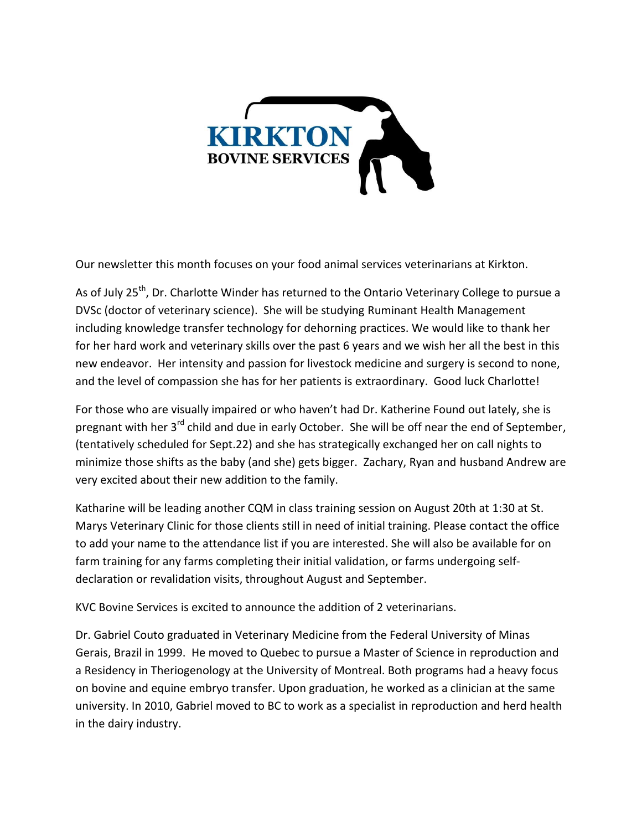

Our newsletter this month focuses on your food animal services veterinarians at Kirkton.

As of July 25<sup>th</sup>, Dr. Charlotte Winder has returned to the Ontario Veterinary College to pursue a DVSc (doctor of veterinary science). She will be studying Ruminant Health Management including knowledge transfer technology for dehorning practices. We would like to thank her for her hard work and veterinary skills over the past 6 years and we wish her all the best in this new endeavor. Her intensity and passion for livestock medicine and surgery is second to none, and the level of compassion she has for her patients is extraordinary. Good luck Charlotte!

For those who are visually impaired or who haven't had Dr. Katherine Found out lately, she is pregnant with her 3<sup>rd</sup> child and due in early October. She will be off near the end of September, (tentatively scheduled for Sept.22) and she has strategically exchanged her on call nights to minimize those shifts as the baby (and she) gets bigger. Zachary, Ryan and husband Andrew are very excited about their new addition to the family.

Katharine will be leading another CQM in class training session on August 20th at 1:30 at St. Marys Veterinary Clinic for those clients still in need of initial training. Please contact the office to add your name to the attendance list if you are interested. She will also be available for on farm training for any farms completing their initial validation, or farms undergoing selfdeclaration or revalidation visits, throughout August and September.

KVC Bovine Services is excited to announce the addition of 2 veterinarians.

Dr. Gabriel Couto graduated in Veterinary Medicine from the Federal University of Minas Gerais, Brazil in 1999. He moved to Quebec to pursue a Master of Science in reproduction and a Residency in Theriogenology at the University of Montreal. Both programs had a heavy focus on bovine and equine embryo transfer. Upon graduation, he worked as a clinician at the same university. In 2010, Gabriel moved to BC to work as a specialist in reproduction and herd health in the dairy industry.